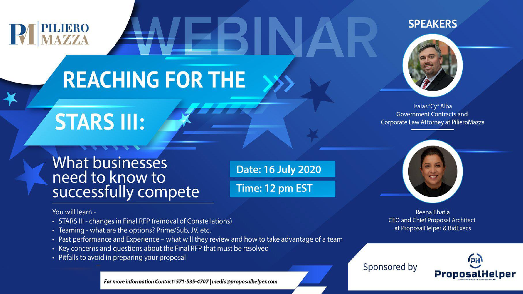# **TEILIERO**<br>MAZZA **REACHING FOR THE**

Date: 16 July 2020

Time: 12 pm EST

#### **SPEAKERS**



Isaias "Cy" Alba **Government Contracts and** Corporate Law Attorney at PilieroMazza



Reena Bhatia **CEO and Chief Proposal Architect** at ProposalHelper & BidExecs

Sponsored by



**What businesses** need to know to successfully compete

**STARS III:** 

You will learn -

- STARS III changes in Final RFP (removal of Constellations)
- Teaming what are the options? Prime/Sub, JV, etc.
- Past performance and Experience what will they review and how to take advantage of a team
- Key concerns and questions about the Final RFP that must be resolved
- Pitfalls to avoid in preparing your proposal

For more information Contact: 571-535-4707 | media@proposalhelper.com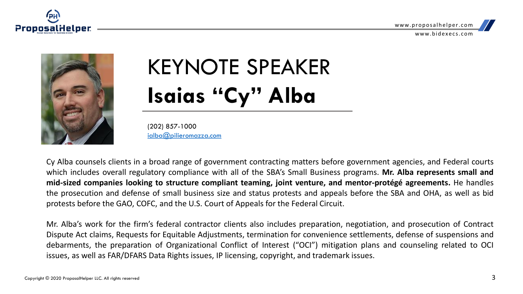





# KEYNOTE SPEAKER **Isaias "Cy" Alba**

(202) 857-1000 [ialba@pilieromazza.com](mailto:ialba@pilieromazza.com)

Cy Alba counsels clients in a broad range of government contracting matters before government agencies, and Federal courts which includes overall regulatory compliance with all of the SBA's Small Business programs. **Mr. Alba represents small and mid-sized companies looking to structure compliant teaming, joint venture, and mentor-protégé agreements.** He handles the prosecution and defense of small business size and status protests and appeals before the SBA and OHA, as well as bid protests before the GAO, COFC, and the U.S. Court of Appeals for the Federal Circuit.

Mr. Alba's work for the firm's federal contractor clients also includes preparation, negotiation, and prosecution of Contract Dispute Act claims, Requests for Equitable Adjustments, termination for convenience settlements, defense of suspensions and debarments, the preparation of Organizational Conflict of Interest ("OCI") mitigation plans and counseling related to OCI issues, as well as FAR/DFARS Data Rights issues, IP licensing, copyright, and trademark issues.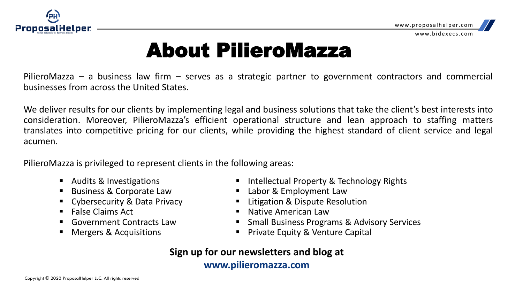



## About PilieroMazza

PilieroMazza – a business law firm – serves as a strategic partner to government contractors and commercial businesses from across the United States.

We deliver results for our clients by implementing legal and business solutions that take the client's best interests into consideration. Moreover, PilieroMazza's efficient operational structure and lean approach to staffing matters translates into competitive pricing for our clients, while providing the highest standard of client service and legal acumen.

PilieroMazza is privileged to represent clients in the following areas:

- Audits & Investigations
- Business & Corporate Law
- Cybersecurity & Data Privacy
- False Claims Act
- Government Contracts Law
- Mergers & Acquisitions
- Intellectual Property & Technology Rights
- Labor & Employment Law
- Litigation & Dispute Resolution
- Native American Law
- Small Business Programs & Advisory Services
- Private Equity & Venture Capital

#### **Sign up for our newsletters and blog at**

**www.pilieromazza.com**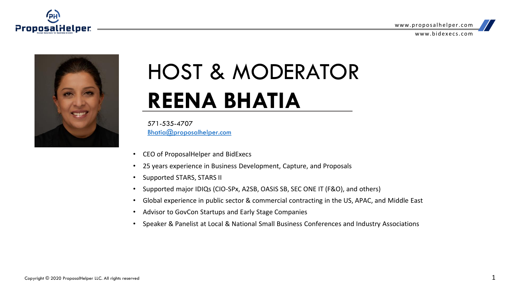



# HOST & MODERATOR **REENA BHATIA**

571-535-4707 [Bhatia@proposalhelper.com](mailto:Bhatia@proposalhelper.com)

- CEO of ProposalHelper and BidExecs
- 25 years experience in Business Development, Capture, and Proposals
- Supported STARS, STARS II
- Supported major IDIQs (CIO-SPx, A2SB, OASIS SB, SEC ONE IT (F&O), and others)
- Global experience in public sector & commercial contracting in the US, APAC, and Middle East
- Advisor to GovCon Startups and Early Stage Companies
- Speaker & Panelist at Local & National Small Business Conferences and Industry Associations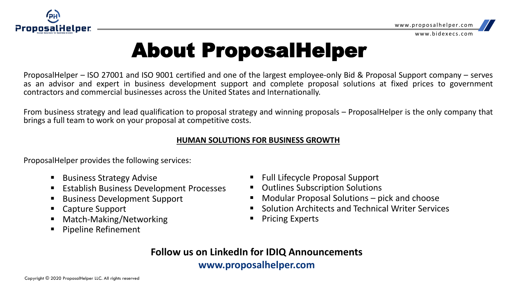

## About ProposalHelper

ProposalHelper – ISO 27001 and ISO 9001 certified and one of the largest employee-only Bid & Proposal Support company – serves as an advisor and expert in business development support and complete proposal solutions at fixed prices to government contractors and commercial businesses across the United States and Internationally.

From business strategy and lead qualification to proposal strategy and winning proposals – ProposalHelper is the only company that brings a full team to work on your proposal at competitive costs.

#### **HUMAN SOLUTIONS FOR BUSINESS GROWTH**

ProposalHelper provides the following services:

- Business Strategy Advise
- Establish Business Development Processes
- Business Development Support
- Capture Support
- Match-Making/Networking
- Pipeline Refinement
- Full Lifecycle Proposal Support
- **Outlines Subscription Solutions**
- Modular Proposal Solutions  $-$  pick and choose
- **Solution Architects and Technical Writer Services**
- **Pricing Experts**
- **Follow us on LinkedIn for IDIQ Announcements**

#### **www.proposalhelper.com**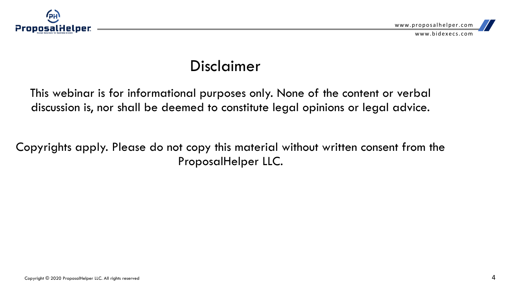

#### Disclaimer

This webinar is for informational purposes only. None of the content or verbal discussion is, nor shall be deemed to constitute legal opinions or legal advice.

Copyrights apply. Please do not copy this material without written consent from the ProposalHelper LLC.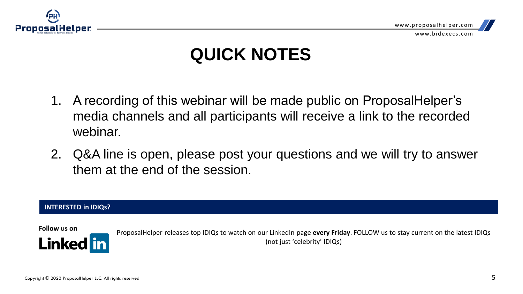

### **QUICK NOTES**

- 1. A recording of this webinar will be made public on ProposalHelper's media channels and all participants will receive a link to the recorded webinar.
- 2. Q&A line is open, please post your questions and we will try to answer them at the end of the session.

#### **INTERESTED in IDIQs?**

Follow us on



ProposalHelper releases top IDIQs to watch on our LinkedIn page **every Friday**. FOLLOW us to stay current on the latest IDIQs (not just 'celebrity' IDIQs)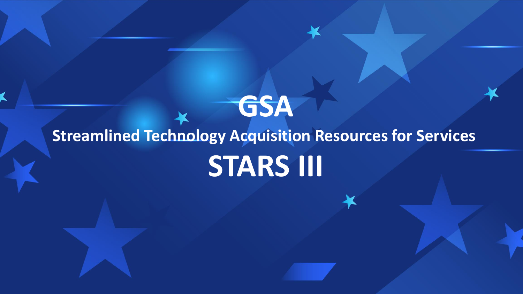# **Streamlined Technology Acquisition Resources for Services STARS III**

**GSA**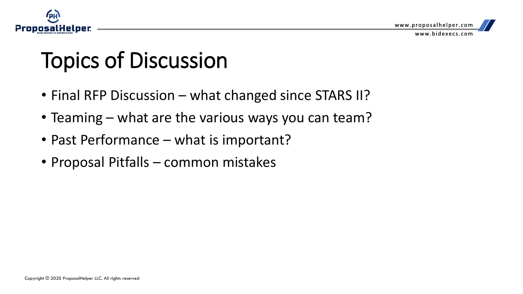

## Topics of Discussion

- Final RFP Discussion what changed since STARS II?
- Teaming what are the various ways you can team?
- Past Performance what is important?
- Proposal Pitfalls common mistakes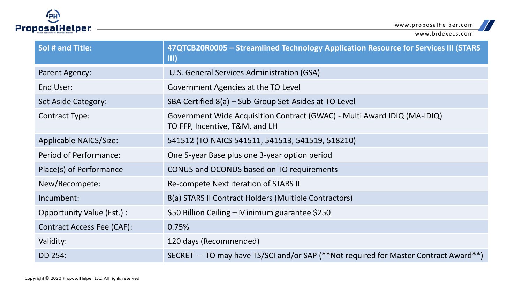

www.bidexecs.com

| Sol # and Title:           | 47QTCB20R0005 - Streamlined Technology Application Resource for Services III (STARS<br>$\mathbf{III}$      |
|----------------------------|------------------------------------------------------------------------------------------------------------|
| Parent Agency:             | U.S. General Services Administration (GSA)                                                                 |
| End User:                  | Government Agencies at the TO Level                                                                        |
| Set Aside Category:        | SBA Certified 8(a) - Sub-Group Set-Asides at TO Level                                                      |
| Contract Type:             | Government Wide Acquisition Contract (GWAC) - Multi Award IDIQ (MA-IDIQ)<br>TO FFP, Incentive, T&M, and LH |
| Applicable NAICS/Size:     | 541512 (TO NAICS 541511, 541513, 541519, 518210)                                                           |
| Period of Performance:     | One 5-year Base plus one 3-year option period                                                              |
| Place(s) of Performance    | CONUS and OCONUS based on TO requirements                                                                  |
| New/Recompete:             | Re-compete Next iteration of STARS II                                                                      |
| Incumbent:                 | 8(a) STARS II Contract Holders (Multiple Contractors)                                                      |
| Opportunity Value (Est.) : | \$50 Billion Ceiling - Minimum guarantee \$250                                                             |
| Contract Access Fee (CAF): | 0.75%                                                                                                      |
| Validity:                  | 120 days (Recommended)                                                                                     |
| DD 254:                    | SECRET --- TO may have TS/SCI and/or SAP (**Not required for Master Contract Award**)                      |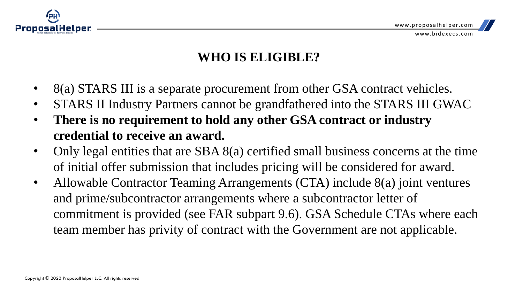

#### **WHO IS ELIGIBLE?**

- 8(a) STARS III is a separate procurement from other GSA contract vehicles.
- STARS II Industry Partners cannot be grandfathered into the STARS III GWAC
- **There is no requirement to hold any other GSA contract or industry credential to receive an award.**
- Only legal entities that are SBA 8(a) certified small business concerns at the time of initial offer submission that includes pricing will be considered for award.
- Allowable Contractor Teaming Arrangements (CTA) include 8(a) joint ventures and prime/subcontractor arrangements where a subcontractor letter of commitment is provided (see FAR subpart 9.6). GSA Schedule CTAs where each team member has privity of contract with the Government are not applicable.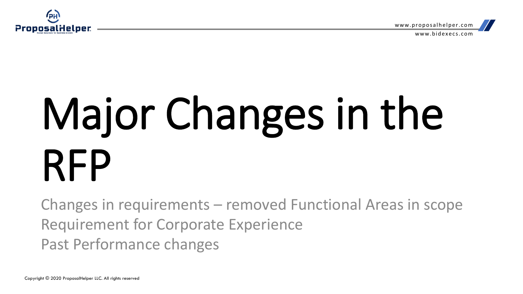

www.bi dex ecs . co m

# Major Changes in the RFP

Changes in requirements – removed Functional Areas in scope Requirement for Corporate Experience Past Performance changes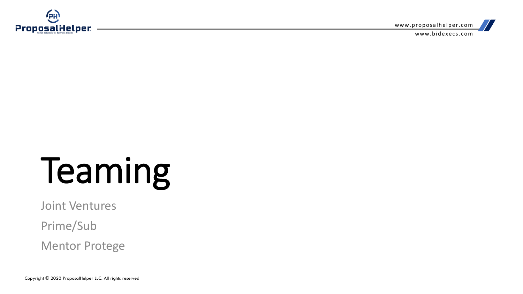

www.bidexecs.com

# Teaming

Joint Ventures

Prime/Sub

Mentor Protege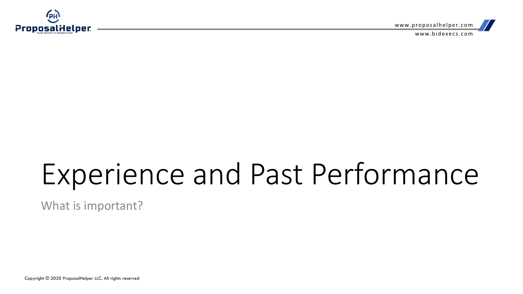

www.bi dex ecs . co m

# Experience and Past Performance

What is important?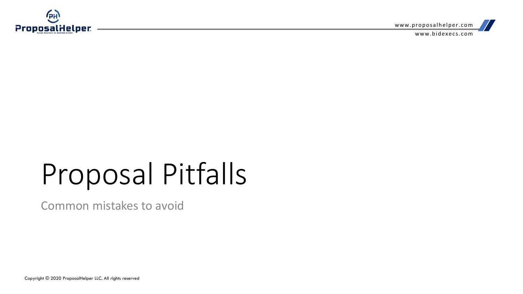

www.bidexecs.com

# Proposal Pitfalls

Common mistakes to avoid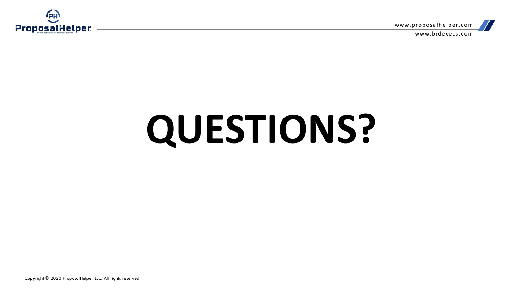

www.bi dex ecs . co m

# **QUESTIONS?**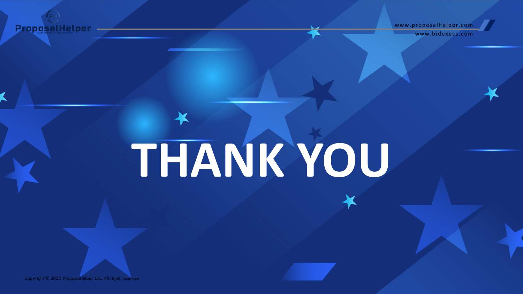**ProposalHelper -**

www.proposalhelper.com

www.bidexecs.com

# **THANK YOU**

Copyright © 2020 ProposalHelper LLC. All rights reserved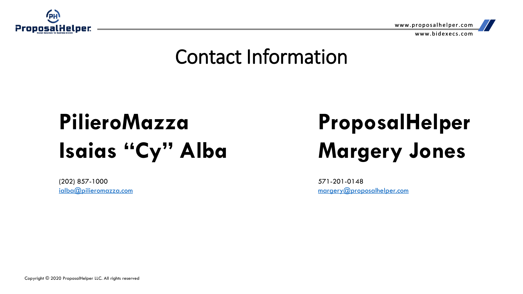

### Contact Information

## **PilieroMazza Isaias "Cy" Alba**

(202) 857-1000 [ialba@pilieromazza.com](mailto:ialba@pilieromazza.com)

# **ProposalHelper Margery Jones**

571-201-0148 [margery@proposalhelper.com](mailto:Margery@proposalhelper.com)

Copyright © 2020 ProposalHelper LLC. All rights reserved